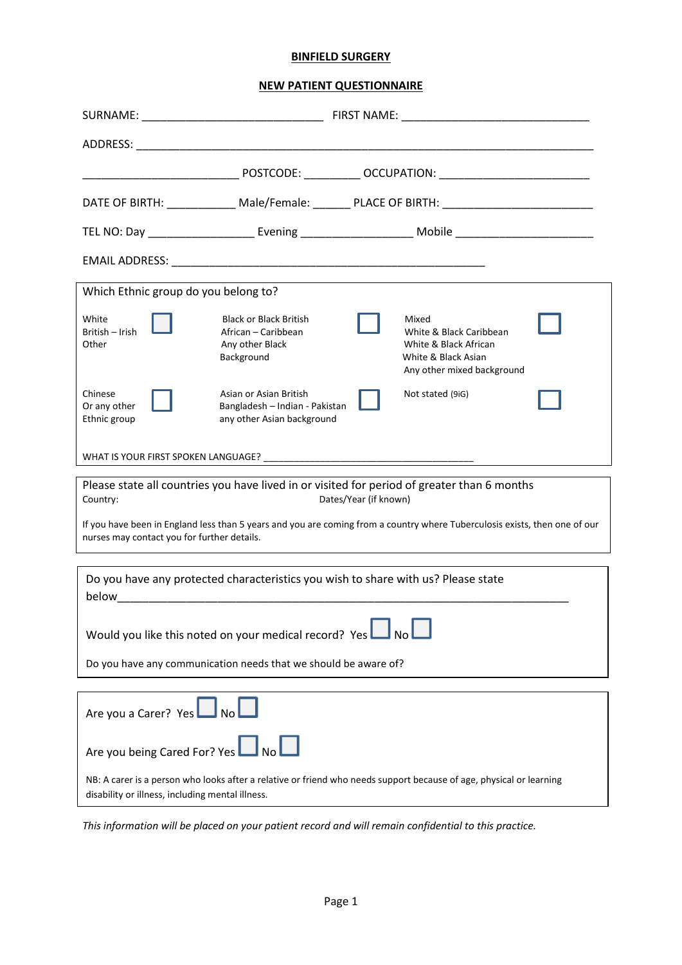## **BINFIELD SURGERY**

**NEW PATIENT QUESTIONNAIRE**

|                                                                                                                                                                           |                                                                                        | DATE OF BIRTH: ______________ Male/Female: _______ PLACE OF BIRTH: ________________________________            |  |  |  |  |  |
|---------------------------------------------------------------------------------------------------------------------------------------------------------------------------|----------------------------------------------------------------------------------------|----------------------------------------------------------------------------------------------------------------|--|--|--|--|--|
|                                                                                                                                                                           |                                                                                        |                                                                                                                |  |  |  |  |  |
|                                                                                                                                                                           |                                                                                        |                                                                                                                |  |  |  |  |  |
| Which Ethnic group do you belong to?                                                                                                                                      |                                                                                        |                                                                                                                |  |  |  |  |  |
| White<br>British - Irish<br>Other                                                                                                                                         | <b>Black or Black British</b><br>African - Caribbean<br>Any other Black<br>Background  | Mixed<br>White & Black Caribbean<br>White & Black African<br>White & Black Asian<br>Any other mixed background |  |  |  |  |  |
| Chinese<br>Or any other<br>Ethnic group                                                                                                                                   | Asian or Asian British<br>Bangladesh - Indian - Pakistan<br>any other Asian background | Not stated (9iG)                                                                                               |  |  |  |  |  |
|                                                                                                                                                                           |                                                                                        |                                                                                                                |  |  |  |  |  |
| Please state all countries you have lived in or visited for period of greater than 6 months<br>Dates/Year (if known)<br>Country:                                          |                                                                                        |                                                                                                                |  |  |  |  |  |
| If you have been in England less than 5 years and you are coming from a country where Tuberculosis exists, then one of our<br>nurses may contact you for further details. |                                                                                        |                                                                                                                |  |  |  |  |  |
| Do you have any protected characteristics you wish to share with us? Please state                                                                                         |                                                                                        |                                                                                                                |  |  |  |  |  |
| Would you like this noted on your medical record? Yes $\Box$ No                                                                                                           |                                                                                        |                                                                                                                |  |  |  |  |  |
| Do you have any communication needs that we should be aware of?                                                                                                           |                                                                                        |                                                                                                                |  |  |  |  |  |
| Are you a Carer? Yes No                                                                                                                                                   |                                                                                        |                                                                                                                |  |  |  |  |  |
| Are you being Cared For? Yes <b>LA</b> No                                                                                                                                 |                                                                                        |                                                                                                                |  |  |  |  |  |
| NB: A carer is a person who looks after a relative or friend who needs support because of age, physical or learning<br>disability or illness, including mental illness.   |                                                                                        |                                                                                                                |  |  |  |  |  |

*This information will be placed on your patient record and will remain confidential to this practice.*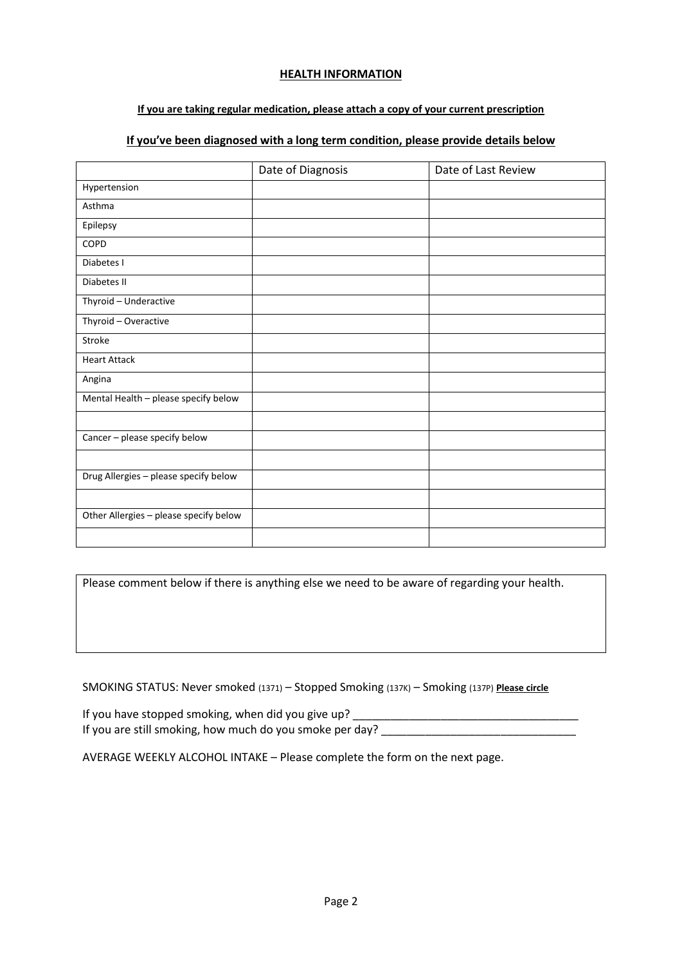#### **HEALTH INFORMATION**

## **If you are taking regular medication, please attach a copy of your current prescription**

# **If you've been diagnosed with a long term condition, please provide details below**

|                                        | Date of Diagnosis | Date of Last Review |
|----------------------------------------|-------------------|---------------------|
| Hypertension                           |                   |                     |
| Asthma                                 |                   |                     |
| Epilepsy                               |                   |                     |
| COPD                                   |                   |                     |
| Diabetes I                             |                   |                     |
| Diabetes II                            |                   |                     |
| Thyroid - Underactive                  |                   |                     |
| Thyroid - Overactive                   |                   |                     |
| Stroke                                 |                   |                     |
| <b>Heart Attack</b>                    |                   |                     |
| Angina                                 |                   |                     |
| Mental Health - please specify below   |                   |                     |
|                                        |                   |                     |
| Cancer - please specify below          |                   |                     |
|                                        |                   |                     |
| Drug Allergies - please specify below  |                   |                     |
|                                        |                   |                     |
| Other Allergies - please specify below |                   |                     |
|                                        |                   |                     |

Please comment below if there is anything else we need to be aware of regarding your health.

SMOKING STATUS: Never smoked (1371) – Stopped Smoking (137K) – Smoking (137P) **Please circle**

If you have stopped smoking, when did you give up? If you are still smoking, how much do you smoke per day? \_\_\_\_\_\_\_\_\_\_\_\_\_\_\_\_\_\_\_\_\_\_\_\_

AVERAGE WEEKLY ALCOHOL INTAKE – Please complete the form on the next page.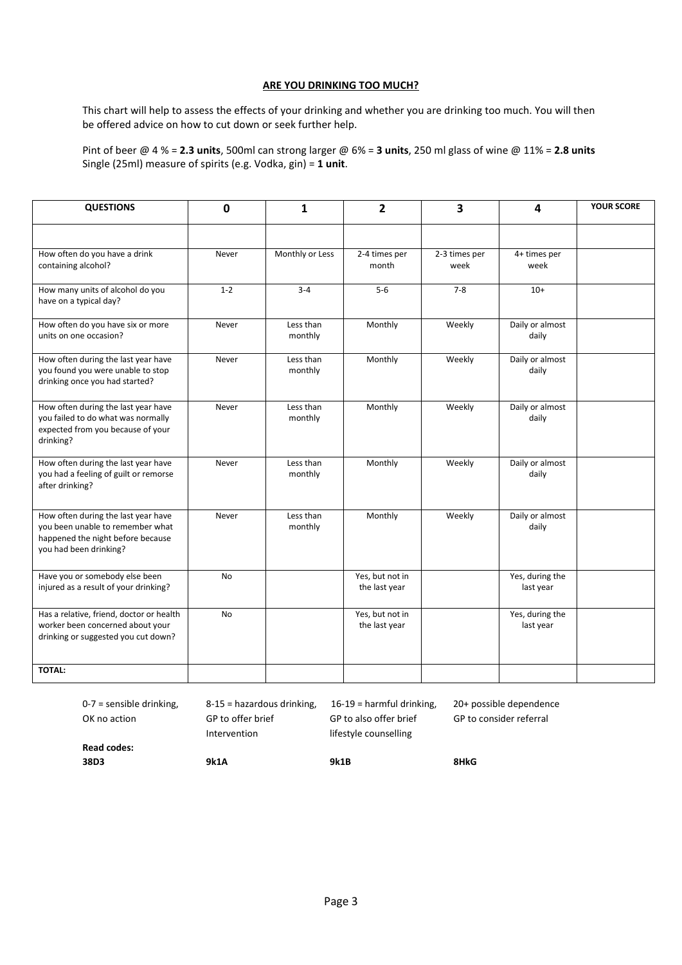#### **ARE YOU DRINKING TOO MUCH?**

This chart will help to assess the effects of your drinking and whether you are drinking too much. You will then be offered advice on how to cut down or seek further help.

Pint of beer @ 4 % = **2.3 units**, 500ml can strong larger @ 6% = **3 units**, 250 ml glass of wine @ 11% = **2.8 units** Single (25ml) measure of spirits (e.g. Vodka, gin) = **1 unit**.

| <b>QUESTIONS</b>                                                                                                                       | $\mathbf 0$ | 1                    | $\overline{2}$                   | 3                     | 4                            | <b>YOUR SCORE</b> |
|----------------------------------------------------------------------------------------------------------------------------------------|-------------|----------------------|----------------------------------|-----------------------|------------------------------|-------------------|
|                                                                                                                                        |             |                      |                                  |                       |                              |                   |
| How often do you have a drink<br>containing alcohol?                                                                                   | Never       | Monthly or Less      | 2-4 times per<br>month           | 2-3 times per<br>week | 4+ times per<br>week         |                   |
| How many units of alcohol do you<br>have on a typical day?                                                                             | $1 - 2$     | $3 - 4$              | $5-6$                            | $7 - 8$               | $10+$                        |                   |
| How often do you have six or more<br>units on one occasion?                                                                            | Never       | Less than<br>monthly | Monthly                          | Weekly                | Daily or almost<br>daily     |                   |
| How often during the last year have<br>you found you were unable to stop<br>drinking once you had started?                             | Never       | Less than<br>monthly | Monthly                          | Weekly                | Daily or almost<br>daily     |                   |
| How often during the last year have<br>you failed to do what was normally<br>expected from you because of your<br>drinking?            | Never       | Less than<br>monthly | Monthly                          | Weekly                | Daily or almost<br>daily     |                   |
| How often during the last year have<br>you had a feeling of guilt or remorse<br>after drinking?                                        | Never       | Less than<br>monthly | Monthly                          | Weekly                | Daily or almost<br>daily     |                   |
| How often during the last year have<br>you been unable to remember what<br>happened the night before because<br>you had been drinking? | Never       | Less than<br>monthly | Monthly                          | Weekly                | Daily or almost<br>daily     |                   |
| Have you or somebody else been<br>injured as a result of your drinking?                                                                | No          |                      | Yes, but not in<br>the last year |                       | Yes, during the<br>last year |                   |
| Has a relative, friend, doctor or health<br>worker been concerned about your<br>drinking or suggested you cut down?                    | <b>No</b>   |                      | Yes, but not in<br>the last year |                       | Yes, during the<br>last year |                   |
| <b>TOTAL:</b>                                                                                                                          |             |                      |                                  |                       |                              |                   |

0-7 = sensible drinking, 8-15 = hazardous drinking, 16-19 = harmful drinking, 20+ possible dependence OK no action GP to offer brief GP to also offer brief GP to consider referral Intervention lifestyle counselling **Read codes:**

**38D3 9k1A 9k1B 8HkG**